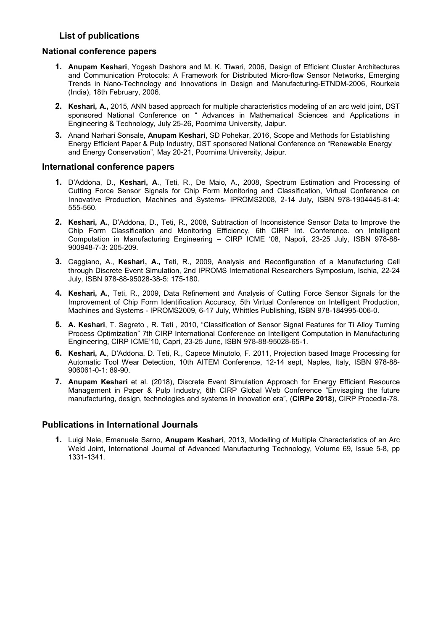## List of publications

#### National conference papers

- 1. Anupam Keshari, Yogesh Dashora and M. K. Tiwari, 2006, Design of Efficient Cluster Architectures and Communication Protocols: A Framework for Distributed Micro-flow Sensor Networks, Emerging Trends in Nano-Technology and Innovations in Design and Manufacturing-ETNDM-2006, Rourkela (India), 18th February, 2006.
- 2. Keshari, A., 2015, ANN based approach for multiple characteristics modeling of an arc weld joint, DST sponsored National Conference on " Advances in Mathematical Sciences and Applications in Engineering & Technology, July 25-26, Poornima University, Jaipur.
- 3. Anand Narhari Sonsale, Anupam Keshari, SD Pohekar, 2016, Scope and Methods for Establishing Energy Efficient Paper & Pulp Industry, DST sponsored National Conference on "Renewable Energy and Energy Conservation", May 20-21, Poornima University, Jaipur.

#### International conference papers

- 1. D'Addona, D., Keshari, A., Teti, R., De Maio, A., 2008, Spectrum Estimation and Processing of Cutting Force Sensor Signals for Chip Form Monitoring and Classification, Virtual Conference on Innovative Production, Machines and Systems- IPROMS2008, 2-14 July, ISBN 978-1904445-81-4: 555-560.
- 2. Keshari, A., D'Addona, D., Teti, R., 2008, Subtraction of Inconsistence Sensor Data to Improve the Chip Form Classification and Monitoring Efficiency, 6th CIRP Int. Conference. on Intelligent Computation in Manufacturing Engineering – CIRP ICME '08, Napoli, 23-25 July, ISBN 978-88- 900948-7-3: 205-209.
- 3. Caggiano, A., Keshari, A., Teti, R., 2009, Analysis and Reconfiguration of a Manufacturing Cell through Discrete Event Simulation, 2nd IPROMS International Researchers Symposium, Ischia, 22-24 July, ISBN 978-88-95028-38-5: 175-180.
- 4. Keshari, A., Teti, R., 2009, Data Refinement and Analysis of Cutting Force Sensor Signals for the Improvement of Chip Form Identification Accuracy, 5th Virtual Conference on Intelligent Production, Machines and Systems - IPROMS2009, 6-17 July, Whittles Publishing, ISBN 978-184995-006-0.
- 5. A. Keshari, T. Segreto , R. Teti , 2010, "Classification of Sensor Signal Features for Ti Alloy Turning Process Optimization" 7th CIRP International Conference on Intelligent Computation in Manufacturing Engineering, CIRP ICME'10, Capri, 23-25 June, ISBN 978-88-95028-65-1.
- 6. Keshari, A., D'Addona, D. Teti, R., Capece Minutolo, F. 2011, Projection based Image Processing for Automatic Tool Wear Detection, 10th AITEM Conference, 12-14 sept, Naples, Italy, ISBN 978-88- 906061-0-1: 89-90.
- 7. Anupam Keshari et al. (2018), Discrete Event Simulation Approach for Energy Efficient Resource Management in Paper & Pulp Industry, 6th CIRP Global Web Conference "Envisaging the future manufacturing, design, technologies and systems in innovation era", (CIRPe 2018), CIRP Procedia-78.

# Publications in International Journals

1. Luigi Nele, Emanuele Sarno, Anupam Keshari, 2013, Modelling of Multiple Characteristics of an Arc Weld Joint, International Journal of Advanced Manufacturing Technology, Volume 69, Issue 5-8, pp 1331-1341.